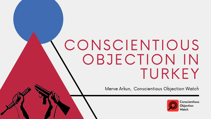# CONSCIENTIOUS OBJECTION IN TURKEY

Merve Arkun, Conscientious Objection Watch



**Conscientious** Objection Watch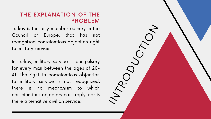#### THE EXPLANATION OF THE PROBLEM

Turkey is the only member country in the Council of Europe, that has not recognised conscientious objection right to military service.

In Turkey, military service is compulsory for every man between the ages of 20- 41. The right to conscientious objection to military service is not recognized, there is no mechanism to which conscientious objectors can apply, nor is Turkey is the only member country in the<br>Council of Europe, that has not<br>recognised conscientious objection right<br>to military service.<br>In Turkey, military service is compulsory<br>for every man between the ages of 20-<br>41. The

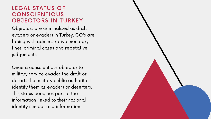#### LEGAL STATUS OF **CONSCIENTIOUS** OBJECTORS IN TURKEY

Objectors are criminalised as draft evaders or evaders in Turkey. CO's are facing with administrative monetary fines, criminal cases and repetative judgements.

Once a conscientious objector to military service evades the draft or deserts the military public authorities identify them as evaders or deserters. This status becomes part of the information linked to their national identity number and information.

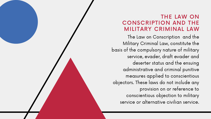### THE LAW ON CONSCRIPTION AND THE

MILITARY CRIMINAL LAW The Law on Conscription and the Military Criminal Law, constitute the basis of the compulsory nature of military service, evader, draft evader and deserter status and the ensuing administrative and criminal punitive measures applied to conscientious objectors. These laws do not include any provision on or reference to conscientious objection to military service or alternative civilian service.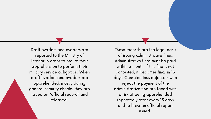Draft evaders and evaders are reported to the Ministry of Interior in order to ensure their apprehension to perform their military service obligation. When draft evaders and evaders are apprehended, mostly during general security checks, they are issued an "official record" and released.

These records are the legal basis of issuing administrative fines. Administrative fines must be paid within  $\alpha$  month. If this fine is not contested, it becomes final in 15 days. Conscientious objectors who reject the payment of the administrative fine are faced with a risk of being apprehended repeatedly after every 15 days and to have an official report issued.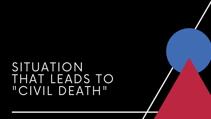### SITUATION THAT LEADS TO "CIVIL DEATH"

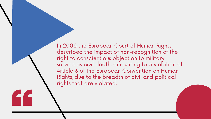In 2006 the European Court of Human Rights described the impact of non-recognition of the right to conscientious objection to military service as civil death, amounting to a violation of Article 3 of the European Convention on Human Rights, due to the breadth of civil and political rights that are violated.

FF F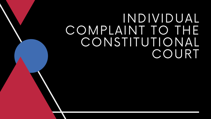### INDIVIDUAL COMPLAINT TO THE CONSTITUTIONAL COURT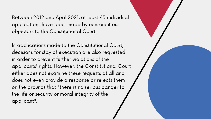Between 2012 and April 2021, at least 45 individual applications have been made by conscientious objectors to the Constitutional Court.

In applications made to the Constitutional Court, decisions for stay of execution are also requested in order to prevent further violations of the applicants' rights. However, the Constitutional Court either does not examine these requests at all and does not even provide a response or rejects them on the grounds that "there is no serious danger to the life or security or moral integrity of the applicant".

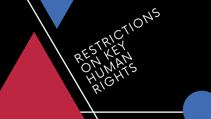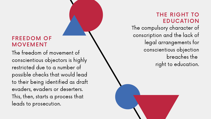### FREEDOM OF MOVEMENT

The freedom of movement of conscientious objectors is highly restricted due to a number of possible checks that would lead to their being identified as draft evaders, evaders or deserters. This, then, starts a process that leads to prosecution.

THE RIGHT TO **EDUCATION** The compulsory character of conscription and the lack of legal arrangements for conscientious objection breaches the right to education.

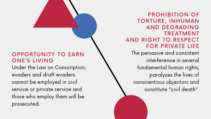#### OPPORTUNITY TO EARN ONE'S LIVING

Under the Law on Conscription, evaders and draft evaders cannot be employed in civil service or private service and those who employ them will be prosecuted.

PROHIBITION OF TORTURE, INHUMAN AND DEGRADING TREATMENT AND RIGHT TO RESPECT FOR PRIVATE LIFE The pervasive and consistent interference in several fundamental human rights, paralyzes the lives of conscientious objectors and constitute "civil death"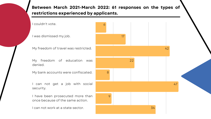#### Between March 2021-March 2022: 61 responses on the types of restrictions experienced by applicants.

I couldn't vote.

I was dismissed my job.

My freedom of travel was restricted.

My freedom of education was denied.

My bank accounts were confiscated.

I can not get a job with social security.

I have been prosecuted more than once because of the same action.

I can not work at a state sector.

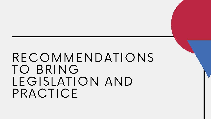## RECOMMENDATIONS TO BRING LEGISLATION AND PRACTICE

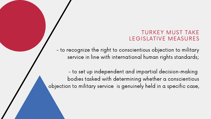- to recognize the right to conscientious objection to military service in line with international human rights standards;

- to set up independent and impartial decision-making bodies tasked with determining whether a conscientious objection to military service is genuinely held in a specific case,

TURKEY MUST TAKE LEGISLATIVE MEASURES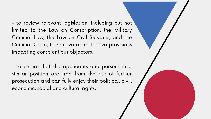- to review relevant legislation, including but not limited to the Law on Conscription, the Military Criminal Law, the Law on Civil Servants, and the Criminal Code, to remove all restrictive provisions impacting conscientious objectors;

- to ensure that the applicants and persons in a similar position are free from the risk of further prosecution and can fully enjoy their political, civil, economic, social and cultural rights.